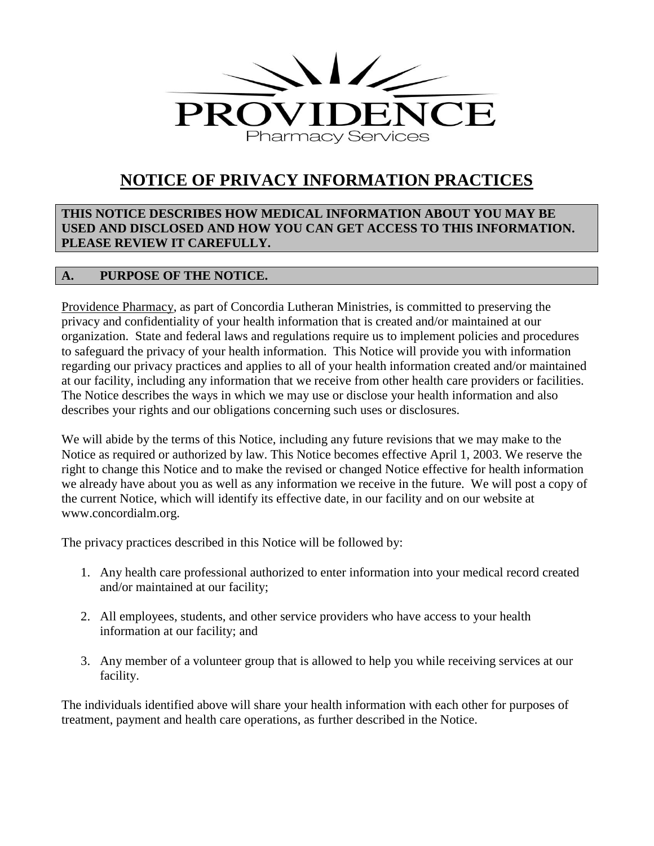

# **NOTICE OF PRIVACY INFORMATION PRACTICES**

**THIS NOTICE DESCRIBES HOW MEDICAL INFORMATION ABOUT YOU MAY BE USED AND DISCLOSED AND HOW YOU CAN GET ACCESS TO THIS INFORMATION. PLEASE REVIEW IT CAREFULLY.**

# **A. PURPOSE OF THE NOTICE.**

Providence Pharmacy, as part of Concordia Lutheran Ministries, is committed to preserving the privacy and confidentiality of your health information that is created and/or maintained at our organization. State and federal laws and regulations require us to implement policies and procedures to safeguard the privacy of your health information. This Notice will provide you with information regarding our privacy practices and applies to all of your health information created and/or maintained at our facility, including any information that we receive from other health care providers or facilities. The Notice describes the ways in which we may use or disclose your health information and also describes your rights and our obligations concerning such uses or disclosures.

We will abide by the terms of this Notice, including any future revisions that we may make to the Notice as required or authorized by law. This Notice becomes effective April 1, 2003. We reserve the right to change this Notice and to make the revised or changed Notice effective for health information we already have about you as well as any information we receive in the future. We will post a copy of the current Notice, which will identify its effective date, in our facility and on our website at www.concordialm.org.

The privacy practices described in this Notice will be followed by:

- 1. Any health care professional authorized to enter information into your medical record created and/or maintained at our facility;
- 2. All employees, students, and other service providers who have access to your health information at our facility; and
- 3. Any member of a volunteer group that is allowed to help you while receiving services at our facility.

The individuals identified above will share your health information with each other for purposes of treatment, payment and health care operations, as further described in the Notice.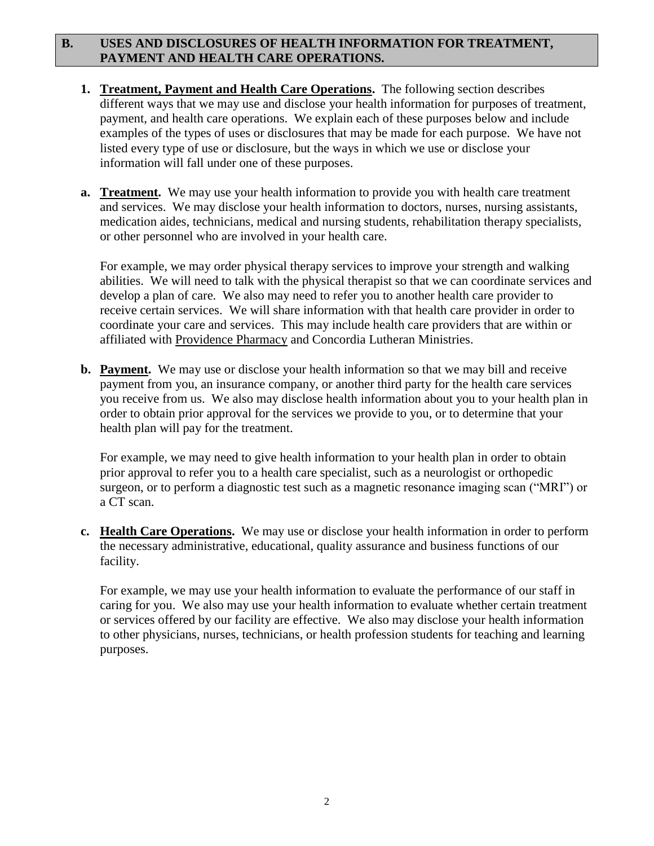## **B. USES AND DISCLOSURES OF HEALTH INFORMATION FOR TREATMENT, PAYMENT AND HEALTH CARE OPERATIONS.**

- **1. Treatment, Payment and Health Care Operations.** The following section describes different ways that we may use and disclose your health information for purposes of treatment, payment, and health care operations. We explain each of these purposes below and include examples of the types of uses or disclosures that may be made for each purpose. We have not listed every type of use or disclosure, but the ways in which we use or disclose your information will fall under one of these purposes.
- **a. Treatment.** We may use your health information to provide you with health care treatment and services. We may disclose your health information to doctors, nurses, nursing assistants, medication aides, technicians, medical and nursing students, rehabilitation therapy specialists, or other personnel who are involved in your health care.

For example, we may order physical therapy services to improve your strength and walking abilities. We will need to talk with the physical therapist so that we can coordinate services and develop a plan of care. We also may need to refer you to another health care provider to receive certain services. We will share information with that health care provider in order to coordinate your care and services. This may include health care providers that are within or affiliated with Providence Pharmacy and Concordia Lutheran Ministries.

**b. Payment.** We may use or disclose your health information so that we may bill and receive payment from you, an insurance company, or another third party for the health care services you receive from us. We also may disclose health information about you to your health plan in order to obtain prior approval for the services we provide to you, or to determine that your health plan will pay for the treatment.

For example, we may need to give health information to your health plan in order to obtain prior approval to refer you to a health care specialist, such as a neurologist or orthopedic surgeon, or to perform a diagnostic test such as a magnetic resonance imaging scan ("MRI") or a CT scan.

**c. Health Care Operations.** We may use or disclose your health information in order to perform the necessary administrative, educational, quality assurance and business functions of our facility.

For example, we may use your health information to evaluate the performance of our staff in caring for you. We also may use your health information to evaluate whether certain treatment or services offered by our facility are effective. We also may disclose your health information to other physicians, nurses, technicians, or health profession students for teaching and learning purposes.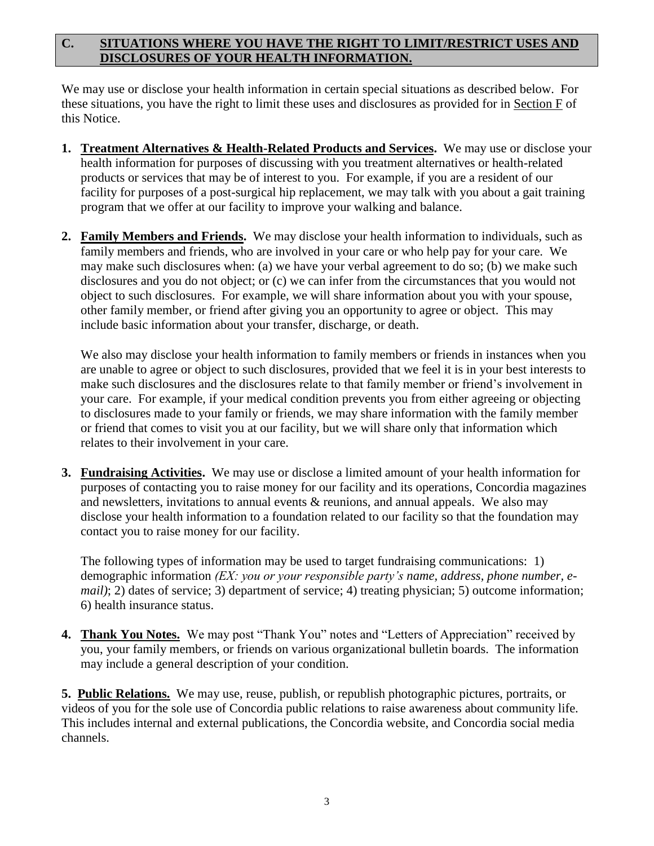## **C. SITUATIONS WHERE YOU HAVE THE RIGHT TO LIMIT/RESTRICT USES AND DISCLOSURES OF YOUR HEALTH INFORMATION.**

We may use or disclose your health information in certain special situations as described below. For these situations, you have the right to limit these uses and disclosures as provided for in Section F of this Notice.

- **1. Treatment Alternatives & Health-Related Products and Services.** We may use or disclose your health information for purposes of discussing with you treatment alternatives or health-related products or services that may be of interest to you. For example, if you are a resident of our facility for purposes of a post-surgical hip replacement, we may talk with you about a gait training program that we offer at our facility to improve your walking and balance.
- **2. Family Members and Friends.** We may disclose your health information to individuals, such as family members and friends, who are involved in your care or who help pay for your care. We may make such disclosures when: (a) we have your verbal agreement to do so; (b) we make such disclosures and you do not object; or (c) we can infer from the circumstances that you would not object to such disclosures. For example, we will share information about you with your spouse, other family member, or friend after giving you an opportunity to agree or object. This may include basic information about your transfer, discharge, or death.

We also may disclose your health information to family members or friends in instances when you are unable to agree or object to such disclosures, provided that we feel it is in your best interests to make such disclosures and the disclosures relate to that family member or friend's involvement in your care. For example, if your medical condition prevents you from either agreeing or objecting to disclosures made to your family or friends, we may share information with the family member or friend that comes to visit you at our facility, but we will share only that information which relates to their involvement in your care.

**3. Fundraising Activities.** We may use or disclose a limited amount of your health information for purposes of contacting you to raise money for our facility and its operations, Concordia magazines and newsletters, invitations to annual events & reunions, and annual appeals. We also may disclose your health information to a foundation related to our facility so that the foundation may contact you to raise money for our facility.

The following types of information may be used to target fundraising communications: 1) demographic information *(EX: you or your responsible party's name, address, phone number, email*); 2) dates of service; 3) department of service; 4) treating physician; 5) outcome information; 6) health insurance status.

**4. Thank You Notes.** We may post "Thank You" notes and "Letters of Appreciation" received by you, your family members, or friends on various organizational bulletin boards. The information may include a general description of your condition.

**5. Public Relations.** We may use, reuse, publish, or republish photographic pictures, portraits, or videos of you for the sole use of Concordia public relations to raise awareness about community life. This includes internal and external publications, the Concordia website, and Concordia social media channels.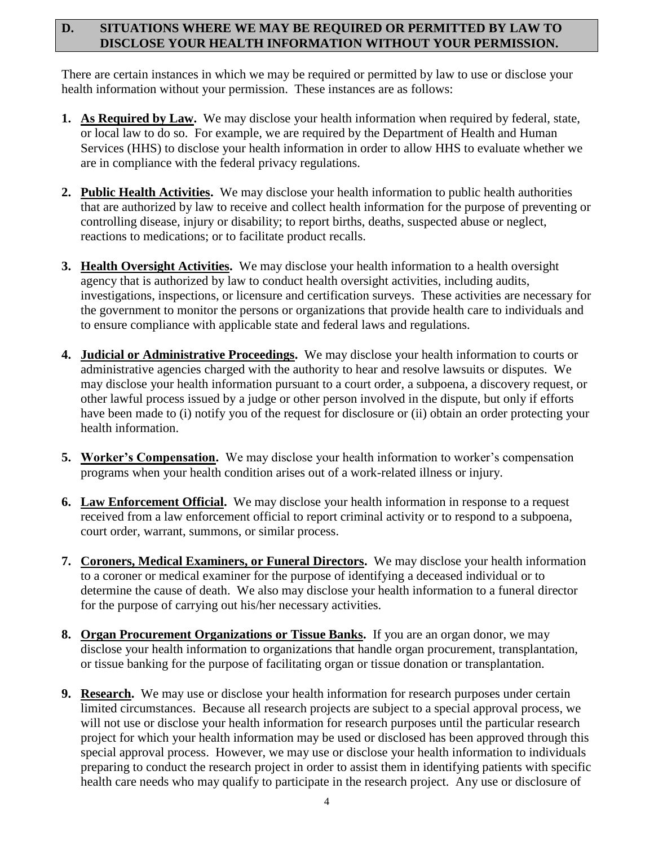#### **D. SITUATIONS WHERE WE MAY BE REQUIRED OR PERMITTED BY LAW TO DISCLOSE YOUR HEALTH INFORMATION WITHOUT YOUR PERMISSION.**

There are certain instances in which we may be required or permitted by law to use or disclose your health information without your permission. These instances are as follows:

- **1. As Required by Law.** We may disclose your health information when required by federal, state, or local law to do so. For example, we are required by the Department of Health and Human Services (HHS) to disclose your health information in order to allow HHS to evaluate whether we are in compliance with the federal privacy regulations.
- **2. Public Health Activities.** We may disclose your health information to public health authorities that are authorized by law to receive and collect health information for the purpose of preventing or controlling disease, injury or disability; to report births, deaths, suspected abuse or neglect, reactions to medications; or to facilitate product recalls.
- **3. Health Oversight Activities.** We may disclose your health information to a health oversight agency that is authorized by law to conduct health oversight activities, including audits, investigations, inspections, or licensure and certification surveys. These activities are necessary for the government to monitor the persons or organizations that provide health care to individuals and to ensure compliance with applicable state and federal laws and regulations.
- **4. Judicial or Administrative Proceedings.** We may disclose your health information to courts or administrative agencies charged with the authority to hear and resolve lawsuits or disputes. We may disclose your health information pursuant to a court order, a subpoena, a discovery request, or other lawful process issued by a judge or other person involved in the dispute, but only if efforts have been made to (i) notify you of the request for disclosure or (ii) obtain an order protecting your health information.
- **5.** Worker's Compensation. We may disclose your health information to worker's compensation programs when your health condition arises out of a work-related illness or injury.
- **6. Law Enforcement Official.** We may disclose your health information in response to a request received from a law enforcement official to report criminal activity or to respond to a subpoena, court order, warrant, summons, or similar process.
- **7. Coroners, Medical Examiners, or Funeral Directors.** We may disclose your health information to a coroner or medical examiner for the purpose of identifying a deceased individual or to determine the cause of death. We also may disclose your health information to a funeral director for the purpose of carrying out his/her necessary activities.
- **8. Organ Procurement Organizations or Tissue Banks.** If you are an organ donor, we may disclose your health information to organizations that handle organ procurement, transplantation, or tissue banking for the purpose of facilitating organ or tissue donation or transplantation.
- **9. Research.** We may use or disclose your health information for research purposes under certain limited circumstances. Because all research projects are subject to a special approval process, we will not use or disclose your health information for research purposes until the particular research project for which your health information may be used or disclosed has been approved through this special approval process. However, we may use or disclose your health information to individuals preparing to conduct the research project in order to assist them in identifying patients with specific health care needs who may qualify to participate in the research project. Any use or disclosure of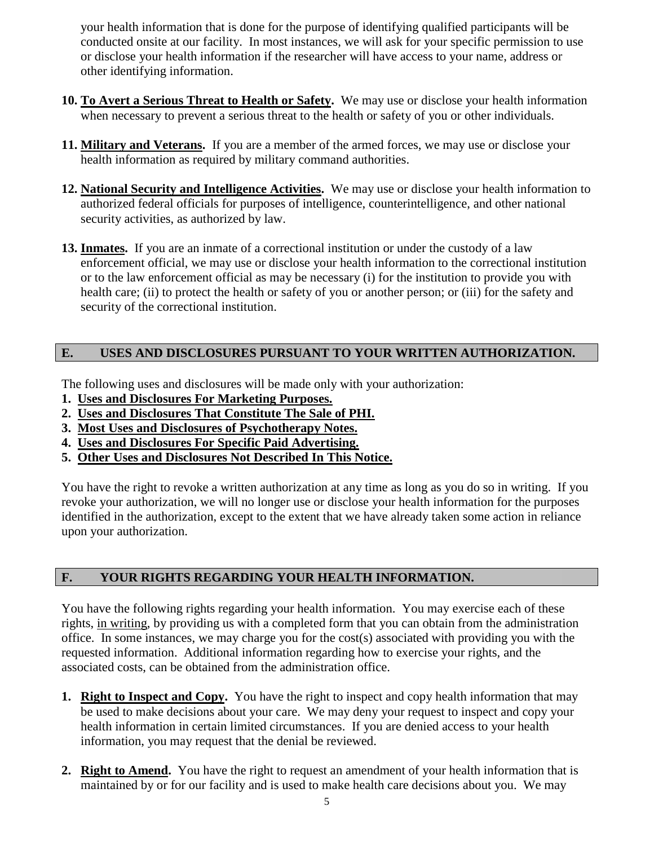your health information that is done for the purpose of identifying qualified participants will be conducted onsite at our facility. In most instances, we will ask for your specific permission to use or disclose your health information if the researcher will have access to your name, address or other identifying information.

- **10. To Avert a Serious Threat to Health or Safety.** We may use or disclose your health information when necessary to prevent a serious threat to the health or safety of you or other individuals.
- **11. Military and Veterans.** If you are a member of the armed forces, we may use or disclose your health information as required by military command authorities.
- **12. National Security and Intelligence Activities.** We may use or disclose your health information to authorized federal officials for purposes of intelligence, counterintelligence, and other national security activities, as authorized by law.
- **13. Inmates.** If you are an inmate of a correctional institution or under the custody of a law enforcement official, we may use or disclose your health information to the correctional institution or to the law enforcement official as may be necessary (i) for the institution to provide you with health care; (ii) to protect the health or safety of you or another person; or (iii) for the safety and security of the correctional institution.

## **E. USES AND DISCLOSURES PURSUANT TO YOUR WRITTEN AUTHORIZATION.**

The following uses and disclosures will be made only with your authorization:

- **1. Uses and Disclosures For Marketing Purposes.**
- **2. Uses and Disclosures That Constitute The Sale of PHI.**
- **3. Most Uses and Disclosures of Psychotherapy Notes.**
- **4. Uses and Disclosures For Specific Paid Advertising.**
- **5. Other Uses and Disclosures Not Described In This Notice.**

You have the right to revoke a written authorization at any time as long as you do so in writing. If you revoke your authorization, we will no longer use or disclose your health information for the purposes identified in the authorization, except to the extent that we have already taken some action in reliance upon your authorization.

## **F. YOUR RIGHTS REGARDING YOUR HEALTH INFORMATION.**

You have the following rights regarding your health information. You may exercise each of these rights, in writing, by providing us with a completed form that you can obtain from the administration office. In some instances, we may charge you for the cost(s) associated with providing you with the requested information. Additional information regarding how to exercise your rights, and the associated costs, can be obtained from the administration office.

- **1. Right to Inspect and Copy.** You have the right to inspect and copy health information that may be used to make decisions about your care. We may deny your request to inspect and copy your health information in certain limited circumstances. If you are denied access to your health information, you may request that the denial be reviewed.
- **2. Right to Amend.** You have the right to request an amendment of your health information that is maintained by or for our facility and is used to make health care decisions about you. We may